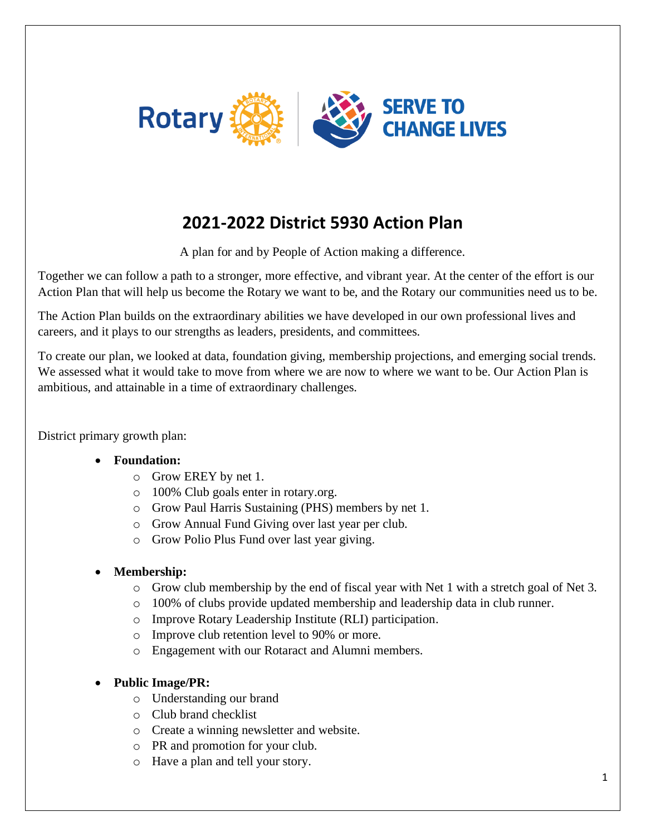

# **2021-2022 District 5930 Action Plan**

A plan for and by People of Action making a difference.

Together we can follow a path to a stronger, more effective, and vibrant year. At the center of the effort is our Action Plan that will help us become the Rotary we want to be, and the Rotary our communities need us to be.

The Action Plan builds on the extraordinary abilities we have developed in our own professional lives and careers, and it plays to our strengths as leaders, presidents, and committees.

To create our plan, we looked at data, foundation giving, membership projections, and emerging social trends. We assessed what it would take to move from where we are now to where we want to be. Our Action Plan is ambitious, and attainable in a time of extraordinary challenges.

District primary growth plan:

#### • **Foundation:**

- o Grow EREY by net 1.
- o 100% Club goals enter in rotary.org.
- o Grow Paul Harris Sustaining (PHS) members by net 1.
- o Grow Annual Fund Giving over last year per club.
- o Grow Polio Plus Fund over last year giving.

## • **Membership:**

- $\circ$  Grow club membership by the end of fiscal year with Net 1 with a stretch goal of Net 3.
- o 100% of clubs provide updated membership and leadership data in club runner.
- o Improve Rotary Leadership Institute (RLI) participation.
- o Improve club retention level to 90% or more.
- o Engagement with our Rotaract and Alumni members.
- **Public Image/PR:**
	- o Understanding our brand
	- o Club brand checklist
	- o Create a winning newsletter and website.
	- o PR and promotion for your club.
	- o Have a plan and tell your story.